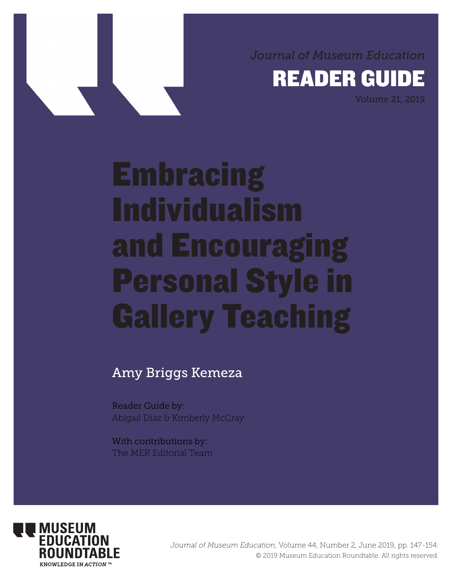*Journal of Museum Education*

READER GUIDE

Volume 21, 2019

## **Embracing Individualism** and Encouraging Personal Style in Gallery Teaching

## Amy Briggs Kemeza

Reader Guide by: Abigail Diaz & Kimberly McCray

With contributions by: The MER Editorial Team



*Journal of Museum Education*, Volume 44, Number 2, June 2019, pp. 147-154. © 2019 Museum Education Roundtable. All rights reserved.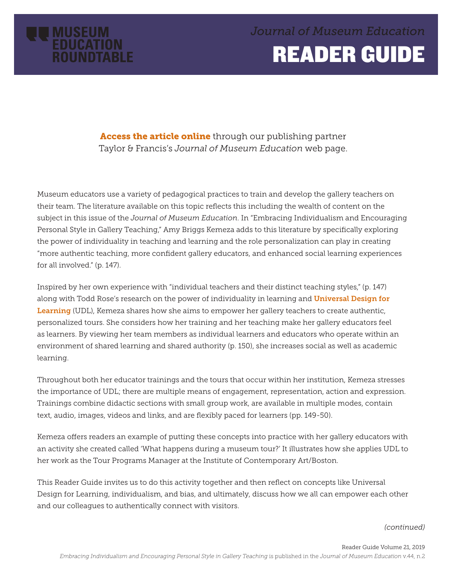

[Access the article online](https://doi.org/10.1080/10598650.2019.1594566) through our publishing partner Taylor & Francis's *Journal of Museum Education* web page.

Museum educators use a variety of pedagogical practices to train and develop the gallery teachers on their team. The literature available on this topic reflects this including the wealth of content on the subject in this issue of the *Journal of Museum Education*. In "Embracing Individualism and Encouraging Personal Style in Gallery Teaching," Amy Briggs Kemeza adds to this literature by specifically exploring the power of individuality in teaching and learning and the role personalization can play in creating "more authentic teaching, more confident gallery educators, and enhanced social learning experiences for all involved." (p. 147).

Inspired by her own experience with "individual teachers and their distinct teaching styles," (p. 147) along with Todd Rose's research on the power of individuality in learning and Universal Design for [Learning](http://www.cast.org/our-work/about-udl.html?utm_source=udlguidelines&utm_medium=web&utm_campaign=none&utm_content=homepage#.XQvXlxZKi70) (UDL), Kemeza shares how she aims to empower her gallery teachers to create authentic, personalized tours. She considers how her training and her teaching make her gallery educators feel as learners. By viewing her team members as individual learners and educators who operate within an environment of shared learning and shared authority (p. 150), she increases social as well as academic learning.

Throughout both her educator trainings and the tours that occur within her institution, Kemeza stresses the importance of UDL; there are multiple means of engagement, representation, action and expression. Trainings combine didactic sections with small group work, are available in multiple modes, contain text, audio, images, videos and links, and are flexibly paced for learners (pp. 149-50).

Kemeza offers readers an example of putting these concepts into practice with her gallery educators with an activity she created called 'What happens during a museum tour?' It illustrates how she applies UDL to her work as the Tour Programs Manager at the Institute of Contemporary Art/Boston.

This Reader Guide invites us to do this activity together and then reflect on concepts like Universal Design for Learning, individualism, and bias, and ultimately, discuss how we all can empower each other and our colleagues to authentically connect with visitors.

## *(continued)*